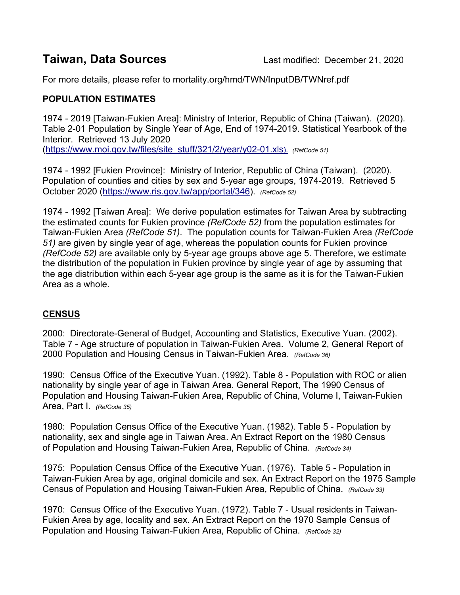For more details, please refer to mortality.org/hmd/TWN/InputDB/TWNref.pdf

## **POPULATION ESTIMATES**

1974 - 2019 [Taiwan-Fukien Area]: Ministry of Interior, Republic of China (Taiwan). (2020). Table 2-01 Population by Single Year of Age, End of 1974-2019. Statistical Yearbook of the Interior. Retrieved 13 July 2020 ([https://www.moi.gov.tw/files/site\\_stuff/321/2/year/y02-01.xls](https://www.moi.gov.tw/files/site_stuff/321/2/year/y02-01.xls)). *(RefCode 51)*

1974 - 1992 [Fukien Province]: Ministry of Interior, Republic of China (Taiwan). (2020). Population of counties and cities by sex and 5-year age groups, 1974-2019. Retrieved 5 October 2020 [\(https://www.ris.gov.tw/app/portal/346\)](https://www.ris.gov.tw/app/portal/346). *(RefCode 52)*

1974 - 1992 [Taiwan Area]: We derive population estimates for Taiwan Area by subtracting the estimated counts for Fukien province *(RefCode 52)* from the population estimates for Taiwan-Fukien Area *(RefCode 51)*. The population counts for Taiwan-Fukien Area *(RefCode 51)* are given by single year of age, whereas the population counts for Fukien province *(RefCode 52)* are available only by 5-year age groups above age 5. Therefore, we estimate the distribution of the population in Fukien province by single year of age by assuming that the age distribution within each 5-year age group is the same as it is for the Taiwan-Fukien Area as a whole.

# **CENSUS**

2000: Directorate-General of Budget, Accounting and Statistics, Executive Yuan. (2002). Table 7 - Age structure of population in Taiwan-Fukien Area. Volume 2, General Report of 2000 Population and Housing Census in Taiwan-Fukien Area. *(RefCode 36)*

1990: Census Office of the Executive Yuan. (1992). Table 8 - Population with ROC or alien nationality by single year of age in Taiwan Area. General Report, The 1990 Census of Population and Housing Taiwan-Fukien Area, Republic of China, Volume I, Taiwan-Fukien Area, Part I. *(RefCode 35)*

1980: Population Census Office of the Executive Yuan. (1982). Table 5 - Population by nationality, sex and single age in Taiwan Area. An Extract Report on the 1980 Census of Population and Housing Taiwan-Fukien Area, Republic of China. *(RefCode 34)*

1975: Population Census Office of the Executive Yuan. (1976). Table 5 - Population in Taiwan-Fukien Area by age, original domicile and sex. An Extract Report on the 1975 Sample Census of Population and Housing Taiwan-Fukien Area, Republic of China. *(RefCode 33)*

1970: Census Office of the Executive Yuan. (1972). Table 7 - Usual residents in Taiwan-Fukien Area by age, locality and sex. An Extract Report on the 1970 Sample Census of Population and Housing Taiwan-Fukien Area, Republic of China. *(RefCode 32)*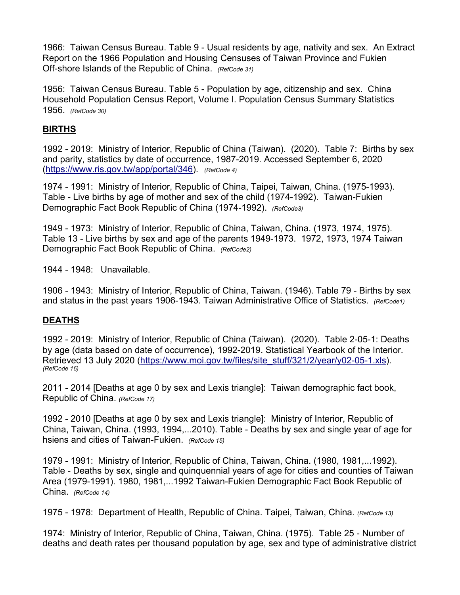1966: Taiwan Census Bureau. Table 9 - Usual residents by age, nativity and sex. An Extract Report on the 1966 Population and Housing Censuses of Taiwan Province and Fukien Off-shore Islands of the Republic of China. *(RefCode 31)*

1956: Taiwan Census Bureau. Table 5 - Population by age, citizenship and sex. China Household Population Census Report, Volume I. Population Census Summary Statistics 1956. *(RefCode 30)*

## **BIRTHS**

1992 - 2019: Ministry of Interior, Republic of China (Taiwan). (2020). Table 7: Births by sex and parity, statistics by date of occurrence, 1987-2019. Accessed September 6, 2020 (<https://www.ris.gov.tw/app/portal/346>). *(RefCode 4)*

1974 - 1991: Ministry of Interior, Republic of China, Taipei, Taiwan, China. (1975-1993). Table - Live births by age of mother and sex of the child (1974-1992). Taiwan-Fukien Demographic Fact Book Republic of China (1974-1992). *(RefCode3)*

1949 - 1973: Ministry of Interior, Republic of China, Taiwan, China. (1973, 1974, 1975). Table 13 - Live births by sex and age of the parents 1949-1973. 1972, 1973, 1974 Taiwan Demographic Fact Book Republic of China. *(RefCode2)*

1944 - 1948: Unavailable.

1906 - 1943: Ministry of Interior, Republic of China, Taiwan. (1946). Table 79 - Births by sex and status in the past years 1906-1943. Taiwan Administrative Office of Statistics. *(RefCode1)*

### **DEATHS**

1992 - 2019: Ministry of Interior, Republic of China (Taiwan). (2020). Table 2-05-1: Deaths by age (data based on date of occurrence), 1992-2019. Statistical Yearbook of the Interior. Retrieved 13 July 2020 ([https://www.moi.gov.tw/files/site\\_stuff/321/2/year/y02-05-1.xls](https://www.moi.gov.tw/files/site_stuff/321/2/year/y02-05-1.xls)). *(RefCode 16)*

2011 - 2014 [Deaths at age 0 by sex and Lexis triangle]: Taiwan demographic fact book, Republic of China. *(RefCode 17)*

1992 - 2010 [Deaths at age 0 by sex and Lexis triangle]: Ministry of Interior, Republic of China, Taiwan, China. (1993, 1994,...2010). Table - Deaths by sex and single year of age for hsiens and cities of Taiwan-Fukien. *(RefCode 15)*

1979 - 1991: Ministry of Interior, Republic of China, Taiwan, China. (1980, 1981,...1992). Table - Deaths by sex, single and quinquennial years of age for cities and counties of Taiwan Area (1979-1991). 1980, 1981,...1992 Taiwan-Fukien Demographic Fact Book Republic of China. *(RefCode 14)*

1975 - 1978: Department of Health, Republic of China. Taipei, Taiwan, China. *(RefCode 13)*

1974: Ministry of Interior, Republic of China, Taiwan, China. (1975). Table 25 - Number of deaths and death rates per thousand population by age, sex and type of administrative district